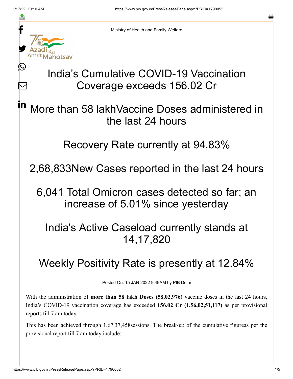≛

 $\bm{\nabla}$ 

in



Ministry of Health and Family Welfare

## India's Cumulative COVID-19 Vaccination Coverage exceeds 156.02 Cr

More than 58 lakhVaccine Doses administered in the last 24 hours

Recovery Rate currently at 94.83%

2,68,833New Cases reported in the last 24 hours

6,041 Total Omicron cases detected so far; an increase of 5.01% since yesterday

India's Active Caseload currently stands at 14,17,820

## Weekly Positivity Rate is presently at 12.84%

Posted On: 15 JAN 2022 9:49AM by PIB Delhi

With the administration of **more than 58 lakh Doses (58,02,976)** vaccine doses in the last 24 hours, India's COVID-19 vaccination coverage has exceeded **156.02 Cr (1,56,02,51,117)** as per provisional reports till 7 am today.

This has been achieved through 1,67,37,458sessions. The break-up of the cumulative figureas per the provisional report till 7 am today include: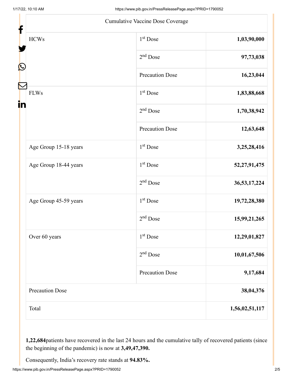|                        | Cumulative Vaccine Dose Coverage |                |
|------------------------|----------------------------------|----------------|
| <b>HCWs</b>            | 1 <sup>st</sup> Dose             | 1,03,90,000    |
|                        | $2nd$ Dose                       | 97,73,038      |
|                        | <b>Precaution Dose</b>           | 16,23,044      |
| <b>FLWs</b>            | $1st$ Dose                       | 1,83,88,668    |
|                        | $2nd$ Dose                       | 1,70,38,942    |
|                        | <b>Precaution Dose</b>           | 12,63,648      |
| Age Group 15-18 years  | 1 <sup>st</sup> Dose             | 3,25,28,416    |
| Age Group 18-44 years  | $1st$ Dose                       | 52,27,91,475   |
|                        | $2nd$ Dose                       | 36,53,17,224   |
| Age Group 45-59 years  | $1st$ Dose                       | 19,72,28,380   |
|                        | $2nd$ Dose                       | 15,99,21,265   |
| Over 60 years          | 1 <sup>st</sup> Dose             | 12,29,01,827   |
|                        | $2nd$ Dose                       | 10,01,67,506   |
|                        | <b>Precaution Dose</b>           | 9,17,684       |
| <b>Precaution Dose</b> |                                  | 38,04,376      |
| Total                  |                                  | 1,56,02,51,117 |

**1,22,684**patients have recovered in the last 24 hours and the cumulative tally of recovered patients (since the beginning of the pandemic) is now at **3,49,47,390.**

Consequently, India's recovery rate stands at **94.83%.**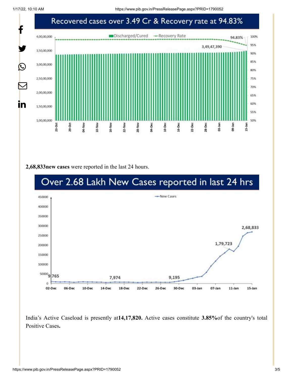1/17/22, 10:10 AM https://www.pib.gov.in/PressReleasePage.aspx?PRID=1790052



**2,68,833new cases** were reported in the last 24 hours.



India's Active Caseload is presently at**14,17,820.** Active cases constitute **3.85%**of the country's total Positive Cases**.**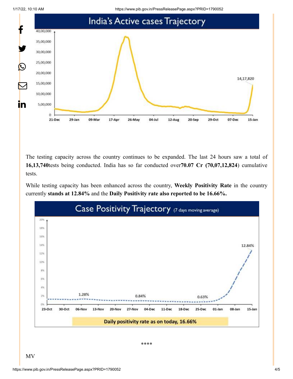1/17/22, 10:10 AM https://www.pib.gov.in/PressReleasePage.aspx?PRID=1790052



The testing capacity across the country continues to be expanded. The last 24 hours saw a total of **16,13,740**tests being conducted. India has so far conducted over**70.07 Cr (70,07,12,824**) cumulative tests.

While testing capacity has been enhanced across the country, **Weekly Positivity Rate** in the country currently **stands at 12.84%** and the **Daily Positivity rate also reported to be 16.66%.**



\*\*\*\*